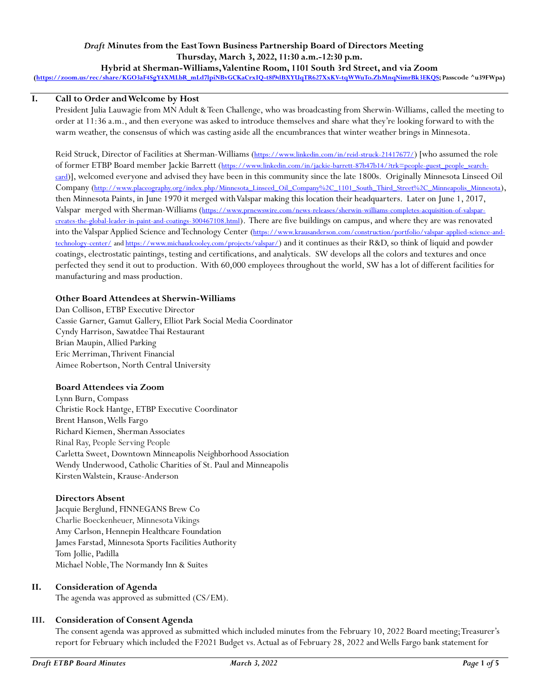## *Draft* **Minutes from the East Town Business Partnership Board of Directors Meeting Thursday, March 3, 2022, 11:30 a.m.-12:30 p.m.**

**Hybrid at Sherman-Williams, Valentine Room, 1101 South 3rd Street, and via Zoom [\(https://zoom.us/rec/share/KGO3aF4SgY4XMLbR\\_mLd7lpiNBvGCKaCrxIQ-t8f9dBXYUqTR627XxKV-tqWWuTo.ZbMnqNimrBk3EKQS;](https://zoom.us/rec/share/KGO3aF4SgY4XMLbR_mLd7lpiNBvGCKaCrxIQ-t8f9dBXYUqTR627XxKV-tqWWuTo.ZbMnqNimrBk3EKQS) Passcode ^u39FWpa)**

## **I. Call to Order and Welcome by Host**

President Julia Lauwagie from MN Adult & Teen Challenge, who was broadcasting from Sherwin-Williams, called the meeting to order at 11:36 a.m., and then everyone was asked to introduce themselves and share what they're looking forward to with the warm weather, the consensus of which was casting aside all the encumbrances that winter weather brings in Minnesota.

Reid Struck, Director of Facilities at Sherman-Williams (<https://www.linkedin.com/in/reid-struck-21417677/>) [who assumed the role of former ETBP Board member Jackie Barrett ([https://www.linkedin.com/in/jackie-barrett-87b47b14/?trk=people-guest\\_people\\_search](https://www.linkedin.com/in/jackie-barrett-87b47b14/?trk=people-guest_people_search-card)[card](https://www.linkedin.com/in/jackie-barrett-87b47b14/?trk=people-guest_people_search-card))], welcomed everyone and advised they have been in this community since the late 1800s. Originally Minnesota Linseed Oil Company ([http://www.placeography.org/index.php/Minnesota\\_Linseed\\_Oil\\_Company%2C\\_1101\\_South\\_Third\\_Street%2C\\_Minneapolis\\_Minnesota](http://www.placeography.org/index.php/Minnesota_Linseed_Oil_Company%2C_1101_South_Third_Street%2C_Minneapolis_Minnesota)), then Minnesota Paints, in June 1970 it merged with Valspar making this location their headquarters. Later on June 1, 2017, Valspar merged with Sherman-Williams ([https://www.prnewswire.com/news-releases/sherwin-williams-completes-acquisition-of-valspar](https://www.prnewswire.com/news-releases/sherwin-williams-completes-acquisition-of-valspar-creates-the-global-leader-in-paint-and-coatings-300467108.html)[creates-the-global-leader-in-paint-and-coatings-300467108.html](https://www.prnewswire.com/news-releases/sherwin-williams-completes-acquisition-of-valspar-creates-the-global-leader-in-paint-and-coatings-300467108.html)). There are five buildings on campus, and where they are was renovated into the Valspar Applied Science and Technology Center ([https://www.krausanderson.com/construction/portfolio/valspar-applied-science-and](https://www.krausanderson.com/construction/portfolio/valspar-applied-science-and-technology-center/)[technology-center/](https://www.krausanderson.com/construction/portfolio/valspar-applied-science-and-technology-center/) and<https://www.michaudcooley.com/projects/valspar/>) and it continues as their R&D, so think of liquid and powder coatings, electrostatic paintings, testing and certifications, and analyticals. SW develops all the colors and textures and once perfected they send it out to production. With 60,000 employees throughout the world, SW has a lot of different facilities for manufacturing and mass production.

## **Other Board Attendees at Sherwin-Williams**

Dan Collison, ETBP Executive Director Cassie Garner, Gamut Gallery, Elliot Park Social Media Coordinator Cyndy Harrison, Sawatdee Thai Restaurant Brian Maupin, Allied Parking Eric Merriman, Thrivent Financial Aimee Robertson, North Central University

## **Board Attendees via Zoom**

Lynn Burn, Compass Christie Rock Hantge, ETBP Executive Coordinator Brent Hanson, Wells Fargo Richard Kiemen, Sherman Associates Rinal Ray, People Serving People Carletta Sweet, Downtown Minneapolis Neighborhood Association Wendy Underwood, Catholic Charities of St. Paul and Minneapolis Kirsten Walstein, Krause-Anderson

## **Directors Absent**

Jacquie Berglund, FINNEGANS Brew Co Charlie Boeckenheuer, Minnesota Vikings Amy Carlson, Hennepin Healthcare Foundation James Farstad, Minnesota Sports Facilities Authority Tom Jollie, Padilla Michael Noble, The Normandy Inn & Suites

## **II. Consideration of Agenda**

The agenda was approved as submitted (CS/EM).

## **III. Consideration of Consent Agenda**

The consent agenda was approved as submitted which included minutes from the February 10, 2022 Board meeting; Treasurer's report for February which included the F2021 Budget vs. Actual as of February 28, 2022 and Wells Fargo bank statement for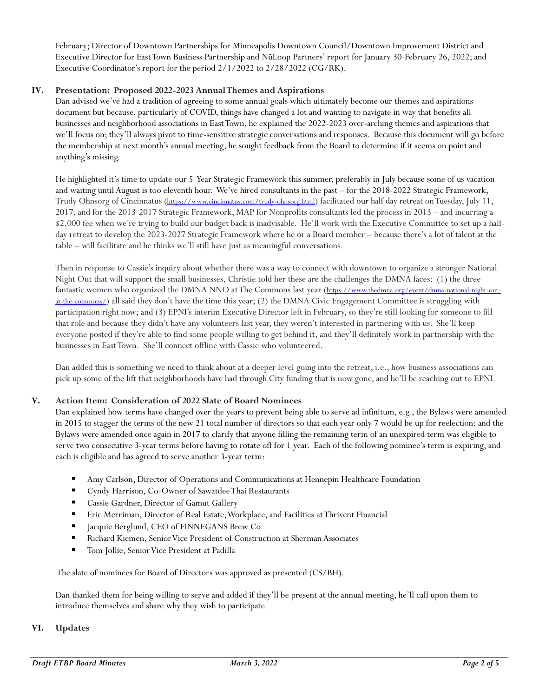February; Director of Downtown Partnerships for Minneapolis Downtown Council/Downtown Improvement District and Executive Director for East Town Business Partnership and Nū Loop Partners' report for January 30-February 26, 2022; and Executive Coordinator's report for the period 2/1/2022 to 2/28/2022 (CG/RK).

## **IV. Presentation: Proposed 2022-2023 Annual Themes and Aspirations**

Dan advised we've had a tradition of agreeing to some annual goals which ultimately become our themes and aspirations document but because, particularly of COVID, things have changed a lot and wanting to navigate in way that benefits all businesses and neighborhood associations in East Town, he explained the 2022-2023 over-arching themes and aspirations that we'll focus on; they'll always pivot to time-sensitive strategic conversations and responses. Because this document will go before the membership at next month's annual meeting, he sought feedback from the Board to determine if it seems on point and anything's missing.

He highlighted it's time to update our 5-Year Strategic Framework this summer, preferably in July because some of us vacation and waiting until August is too eleventh hour. We've hired consultants in the past – for the 2018-2022 Strategic Framework, Trudy Ohnsorg of Cincinnatus (<https://www.cincinnatus.com/trudy-ohnsorg.html>) facilitated our half day retreat on Tuesday, July 11, 2017, and for the 2013-2017 Strategic Framework, MAP for Nonprofits consultants led the process in 2013 – and incurring a \$2,000 fee when we're trying to build our budget back is inadvisable. He'll work with the Executive Committee to set up a halfday retreat to develop the 2023-2027 Strategic Framework where he or a Board member – because there's a lot of talent at the table – will facilitate and he thinks we'll still have just as meaningful conversations.

Then in response to Cassie's inquiry about whether there was a way to connect with downtown to organize a stronger National Night Out that will support the small businesses, Christie told her these are the challenges the DMNA faces: (1) the three fantastic women who organized the DMNA NNO at The Commons last year ([https://www.thedmna.org/event/dmna-national-night-out](https://www.thedmna.org/event/dmna-national-night-out-at-the-commons/)[at-the-commons/](https://www.thedmna.org/event/dmna-national-night-out-at-the-commons/)) all said they don't have the time this year; (2) the DMNA Civic Engagement Committee is struggling with participation right now; and (3) EPNI's interim Executive Director left in February, so they're still looking for someone to fill that role and because they didn't have any volunteers last year, they weren't interested in partnering with us. She'll keep everyone posted if they're able to find some people willing to get behind it, and they'll definitely work in partnership with the businesses in East Town. She'll connect offline with Cassie who volunteered.

Dan added this is something we need to think about at a deeper level going into the retreat, i.e., how business associations can pick up some of the lift that neighborhoods have had through City funding that is now gone, and he'll be reaching out to EPNI.

## **V. Action Item: Consideration of 2022 Slate of Board Nominees**

Dan explained how terms have changed over the years to prevent being able to serve ad infinitum, e.g., the Bylaws were amended in 2015 to stagger the terms of the new 21 total number of directors so that each year only 7 would be up for reelection; and the Bylaws were amended once again in 2017 to clarify that anyone filling the remaining term of an unexpired term was eligible to serve two consecutive 3-year terms before having to rotate off for 1 year. Each of the following nominee's term is expiring, and each is eligible and has agreed to serve another 3-year term:

- Amy Carlson, Director of Operations and Communications at Hennepin Healthcare Foundation
- Cyndy Harrison, Co-Owner of Sawatdee Thai Restaurants
- Cassie Gardner, Director of Gamut Gallery
- Eric Merriman, Director of Real Estate, Workplace, and Facilities at Thrivent Financial
- **Example 3** Jacquie Berglund, CEO of FINNEGANS Brew Co
- Richard Kiemen, Senior Vice President of Construction at Sherman Associates
- Tom Jollie, Senior Vice President at Padilla

The slate of nominees for Board of Directors was approved as presented (CS/BH).

Dan thanked them for being willing to serve and added if they'll be present at the annual meeting, he'll call upon them to introduce themselves and share why they wish to participate.

## **VI. Updates**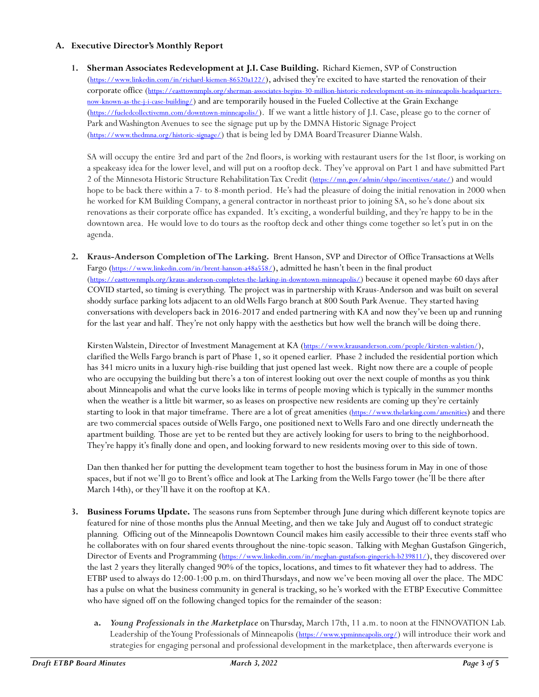## **A. Executive Director's Monthly Report**

**1. Sherman Associates Redevelopment at J.I. Case Building.** Richard Kiemen, SVP of Construction (<https://www.linkedin.com/in/richard-kiemen-86520a122/>), advised they're excited to have started the renovation of their corporate office ([https://easttownmpls.org/sherman-associates-begins-30-million-historic-redevelopment-on-its-minneapolis-headquarters](https://easttownmpls.org/sherman-associates-begins-30-million-historic-redevelopment-on-its-minneapolis-headquarters-now-known-as-the-j-i-case-building/)[now-known-as-the-j-i-case-building/](https://easttownmpls.org/sherman-associates-begins-30-million-historic-redevelopment-on-its-minneapolis-headquarters-now-known-as-the-j-i-case-building/)) and are temporarily housed in the Fueled Collective at the Grain Exchange (<https://fueledcollectivemn.com/downtown-minneapolis/>). If we want a little history of J.I. Case, please go to the corner of Park and Washington Avenues to see the signage put up by the DMNA Historic Signage Project (<https://www.thedmna.org/historic-signage/>) that is being led by DMA Board Treasurer Dianne Walsh.

SA will occupy the entire 3rd and part of the 2nd floors, is working with restaurant users for the 1st floor, is working on a speakeasy idea for the lower level, and will put on a rooftop deck. They've approval on Part 1 and have submitted Part 2 of the Minnesota Historic Structure Rehabilitation Tax Credit (<https://mn.gov/admin/shpo/incentives/state/>) and would hope to be back there within a 7- to 8-month period. He's had the pleasure of doing the initial renovation in 2000 when he worked for KM Building Company, a general contractor in northeast prior to joining SA, so he's done about six renovations as their corporate office has expanded. It's exciting, a wonderful building,and they're happy to be in the downtown area. He would love to do tours as the rooftop deck and other things come together so let's put in on the agenda.

**2. Kraus-Anderson Completion ofThe Larking.** Brent Hanson, SVP and Director of Office Transactions at Wells Fargo (<https://www.linkedin.com/in/brent-hanson-a48a558/>), admitted he hasn't been in the final product (<https://easttownmpls.org/kraus-anderson-completes-the-larking-in-downtown-minneapolis/>) because it opened maybe 60 days after COVID started, so timing is everything. The project was in partnership with Kraus-Anderson and was built on several shoddy surface parking lots adjacent to an old Wells Fargo branch at 800 South Park Avenue. They started having conversations with developers back in 2016-2017 and ended partnering with KA and now they've been up and running for the last year and half. They're not only happy with the aesthetics but how well the branch will be doing there.

Kirsten Walstein, Director of Investment Management at KA (<https://www.krausanderson.com/people/kirsten-walstien/>), clarified the Wells Fargo branch is part of Phase 1, so it opened earlier. Phase 2 included the residential portion which has 341 micro units in a luxury high-rise building that just opened last week. Right now there are a couple of people who are occupying the building but there's a ton of interest looking out over the next couple of months as you think about Minneapolis and what the curve looks like in terms of people moving which is typically in the summer months when the weather is a little bit warmer, so as leases on prospective new residents are coming up they're certainly starting to look in that major timeframe. There are a lot of great amenities [\(https://www.thelarking.com/amenities](https://www.thelarking.com/amenities)) and there are two commercial spaces outside of Wells Fargo, one positioned next to Wells Faro and one directly underneath the apartment building. Those are yet to be rented but they are actively looking for users to bring to the neighborhood. They're happy it's finally done and open, and looking forward to new residents moving over to this side of town.

Dan then thanked her for putting the development team together to host the business forum in May in one of those spaces, but if not we'll go to Brent's office and look at The Larking from the Wells Fargo tower (he'll be there after March 14th), or they'll have it on the rooftop at KA.

- **3. Business Forums Update.** The seasons runs from September through June during which different keynote topics are featured for nine of those months plus the Annual Meeting, and then we take July and August off to conduct strategic planning. Officing out of the Minneapolis Downtown Council makes him easily accessible to their three events staff who he collaborates with on four shared events throughout the nine-topic season. Talking with Meghan Gustafson Gingerich, Director of Events and Programming (<https://www.linkedin.com/in/meghan-gustafson-gingerich-b239811/>), they discovered over the last 2 years they literally changed 90% of the topics, locations, and times to fit whatever they had to address. The ETBP used to always do 12:00-1:00 p.m. on third Thursdays, and now we've been moving all over the place. The MDC has a pulse on what the business community in general is tracking, so he's worked with the ETBP Executive Committee who have signed off on the following changed topics for the remainder of the season:
	- **a.** *Young Professionals in the Marketplace* onThursday, March 17th, 11 a.m. to noon at the FINNOVATION Lab. Leadership of the Young Professionals of Minneapolis (<https://www.ypminneapolis.org/>) will introduce their work and strategies for engaging personal and professional development in the marketplace, then afterwards everyone is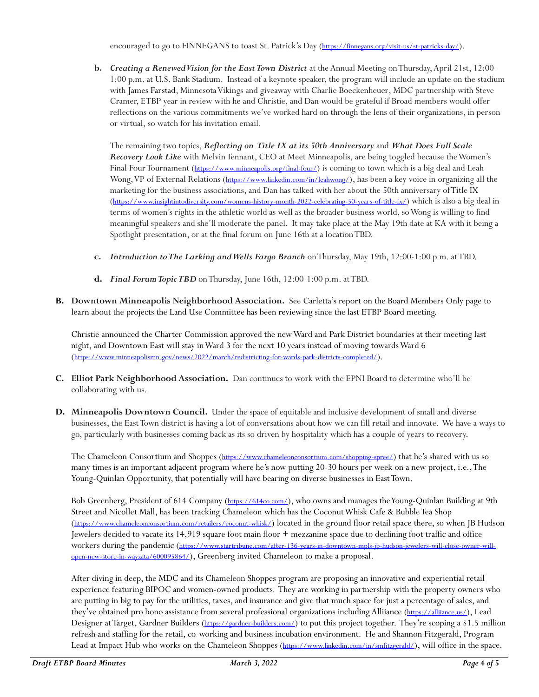encouraged to go to FINNEGANS to toast St. Patrick's Day (<https://finnegans.org/visit-us/st-patricks-day/>).

**b.** *Creating a Renewed Vision for the East Town District* at the Annual Meeting on Thursday, April 21st, 12:00- 1:00 p.m. at U.S. Bank Stadium. Instead of a keynote speaker, the program will include an update on the stadium with James Farstad, Minnesota Vikings and giveaway with Charlie Boeckenheuer, MDC partnership with Steve Cramer, ETBP year in review with he and Christie, and Dan would be grateful if Broad members would offer reflections on the various commitments we've worked hard on through the lens of their organizations, in person or virtual, so watch for his invitation email.

The remaining two topics, *Reflecting on Title IX at its 50th Anniversary* and *What Does Full Scale Recovery Look Like* with Melvin Tennant, CEO at Meet Minneapolis, are being toggled because the Women's Final Four Tournament (<https://www.minneapolis.org/final-four/>) is coming to town which is a big deal and Leah Wong, VP of External Relations (<https://www.linkedin.com/in/leahwong/>), has been a key voice in organizing all the marketing for the business associations, and Dan has talked with her about the 50th anniversary of Title IX (<https://www.insightintodiversity.com/womens-history-month-2022-celebrating-50-years-of-title-ix/>) which is also a big deal in terms of women's rights in the athletic world as well as the broader business world, so Wong is willing to find meaningful speakers and she'll moderate the panel. It may take place at the May 19th date at KA with it being a Spotlight presentation, or at the final forum on June 16th at a location TBD.

- **c.** *Introduction to The Larking and Wells Fargo Branch* on Thursday, May 19th, 12:00-1:00 p.m. at TBD.
- **d.** *Final Forum Topic TBD* on Thursday, June 16th, 12:00-1:00 p.m. at TBD.
- **B. Downtown Minneapolis Neighborhood Association.** See Carletta's report on the Board Members Only page to learn about the projects the Land Use Committee has been reviewing since the last ETBP Board meeting.

Christie announced the Charter Commission approved the new Ward and Park District boundaries at their meeting last night, and Downtown East will stay in Ward 3 for the next 10 years instead of moving towards Ward 6 (<https://www.minneapolismn.gov/news/2022/march/redistricting-for-wards-park-districts-completed/>).

- **C. Elliot Park Neighborhood Association.** Dan continues to work with the EPNI Board to determine who'll be collaborating with us.
- **D. Minneapolis Downtown Council.** Under the space of equitable and inclusive development of small and diverse businesses, the East Town district is having a lot of conversations about how we can fill retail and innovate. We have a ways to go, particularly with businesses coming back as its so driven by hospitality which has a couple of years to recovery.

The Chameleon Consortium and Shoppes (<https://www.chameleonconsortium.com/shopping-spree/>) that he's shared with us so many times is an important adjacent program where he's now putting 20-30 hours per week on a new project, i.e., The Young-Quinlan Opportunity, that potentially will have bearing on diverse businesses in East Town.

Bob Greenberg, President of 614 Company (<https://614co.com/>), who owns and manages the Young-Quinlan Building at 9th Street and Nicollet Mall, has been tracking Chameleon which has the Coconut Whisk Cafe & Bubble Tea Shop (<https://www.chameleonconsortium.com/retailers/coconut-whisk/>) located in the ground floor retail space there, so when JB Hudson Jewelers decided to vacate its 14,919 square foot main floor + mezzanine space due to declining foot traffic and office workers during the pandemic ([https://www.startribune.com/after-136-years-in-downtown-mpls-jb-hudson-jewelers-will-close-owner-will](https://www.startribune.com/after-136-years-in-downtown-mpls-jb-hudson-jewelers-will-close-owner-will-open-new-store-in-wayzata/600095864/)[open-new-store-in-wayzata/600095864/](https://www.startribune.com/after-136-years-in-downtown-mpls-jb-hudson-jewelers-will-close-owner-will-open-new-store-in-wayzata/600095864/)), Greenberg invited Chameleon to make a proposal.

After diving in deep, the MDC and its Chameleon Shoppes program are proposing an innovative and experiential retail experience featuring BIPOC and women-owned products. They are working in partnership with the property owners who are putting in big to pay for the utilities, taxes, and insurance and give that much space for just a percentage of sales, and they've obtained pro bono assistance from several professional organizations including Alliiance (<https://alliiance.us/>), Lead Designer at Target, Gardner Builders (<https://gardner-builders.com/>) to put this project together. They're scoping a \$1.5 million refresh and staffing for the retail, co-working and business incubation environment. He and Shannon Fitzgerald, Program Lead at Impact Hub who works on the Chameleon Shoppes (<https://www.linkedin.com/in/smfitzgerald/>), will office in the space.